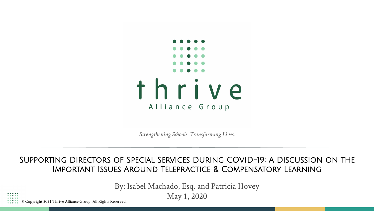

*Strengthening Schools. Transforming Lives.*

#### Supporting Directors of Special Services During COVID-19: A Discussion on the Important Issues Around Telepractice & Compensatory Learning

By: Isabel Machado, Esq. and Patricia Hovey

May 1, 2020

© Copyright 2021 Thrive Alliance Group. All Rights Reserved.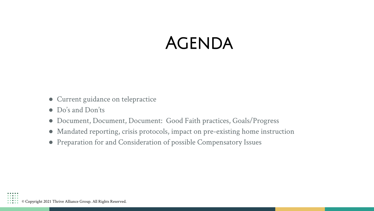#### **AGENDA**

- Current guidance on telepractice
- Do's and Don'ts
- Document, Document, Document: Good Faith practices, Goals/Progress
- Mandated reporting, crisis protocols, impact on pre-existing home instruction
- Preparation for and Consideration of possible Compensatory Issues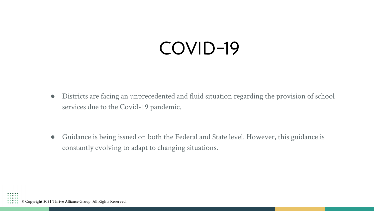# COVID-19

● Districts are facing an unprecedented and fluid situation regarding the provision of school services due to the Covid-19 pandemic.

● Guidance is being issued on both the Federal and State level. However, this guidance is constantly evolving to adapt to changing situations.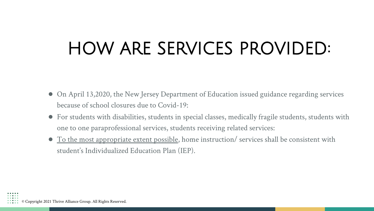# HOW ARE SERVICES PROVIDED:

- On April 13,2020, the New Jersey Department of Education issued guidance regarding services because of school closures due to Covid-19:
- For students with disabilities, students in special classes, medically fragile students, students with one to one paraprofessional services, students receiving related services:
- To the most appropriate extent possible, home instruction/ services shall be consistent with student's Individualized Education Plan (IEP).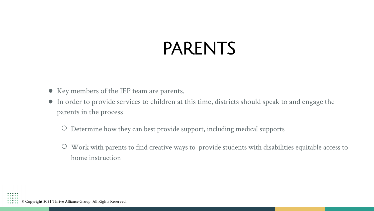# PARENTS

- Key members of the IEP team are parents.
- In order to provide services to children at this time, districts should speak to and engage the parents in the process
	- Determine how they can best provide support, including medical supports
	- Work with parents to find creative ways to provide students with disabilities equitable access to home instruction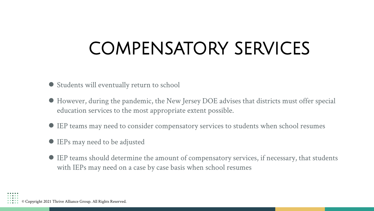# COMPENSATORY SERVICES

- Students will eventually return to school
- However, during the pandemic, the New Jersey DOE advises that districts must offer special education services to the most appropriate extent possible.
- IEP teams may need to consider compensatory services to students when school resumes
- IEPs may need to be adjusted
- IEP teams should determine the amount of compensatory services, if necessary, that students with IEPs may need on a case by case basis when school resumes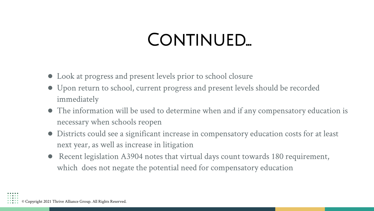## CONTINUED...

- Look at progress and present levels prior to school closure
- Upon return to school, current progress and present levels should be recorded immediately
- The information will be used to determine when and if any compensatory education is necessary when schools reopen
- Districts could see a significant increase in compensatory education costs for at least next year, as well as increase in litigation
- Recent legislation A3904 notes that virtual days count towards 180 requirement, which does not negate the potential need for compensatory education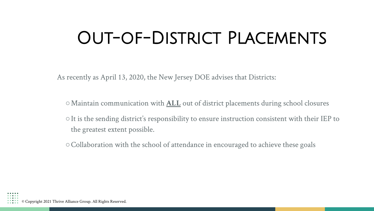## Out-of-District Placements

As recently as April 13, 2020, the New Jersey DOE advises that Districts:

- ○Maintain communication with **ALL** out of district placements during school closures
- ○It is the sending district's responsibility to ensure instruction consistent with their IEP to the greatest extent possible.
- ○Collaboration with the school of attendance in encouraged to achieve these goals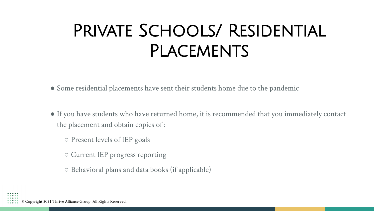# Private Schools/ Residential **PLACEMENTS**

● Some residential placements have sent their students home due to the pandemic

- If you have students who have returned home, it is recommended that you immediately contact the placement and obtain copies of :
	- Present levels of IEP goals
	- Current IEP progress reporting
	- Behavioral plans and data books (if applicable)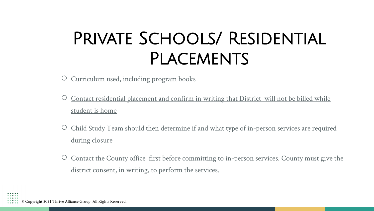# PRIVATE SCHOOLS/ RESIDENTIAL **PLACEMENTS**

- Curriculum used, including program books
- Contact residential placement and confirm in writing that District will not be billed while student is home
- Child Study Team should then determine if and what type of in-person services are required during closure
- Contact the County office first before committing to in-person services. County must give the district consent, in writing, to perform the services.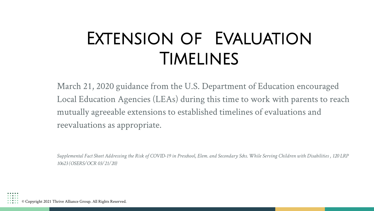# Extension of Evaluation Timelines

March 21, 2020 guidance from the U.S. Department of Education encouraged Local Education Agencies (LEAs) during this time to work with parents to reach mutually agreeable extensions to established timelines of evaluations and reevaluations as appropriate.

*Supplemental Fact Sheet Addressing the Risk of COVID-19 in Preschool, Elem. and Secondary Schs. While Serving Children with Disabilities , 120 LRP 10623 (OSERS/OCR 03/21/20)*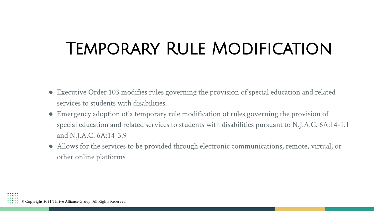## Temporary Rule Modification

- Executive Order 103 modifies rules governing the provision of special education and related services to students with disabilities.
- Emergency adoption of a temporary rule modification of rules governing the provision of special education and related services to students with disabilities pursuant to N.J.A.C. 6A:14-1.1 and N.J.A.C. 6A:14-3.9
- Allows for the services to be provided through electronic communications, remote, virtual, or other online platforms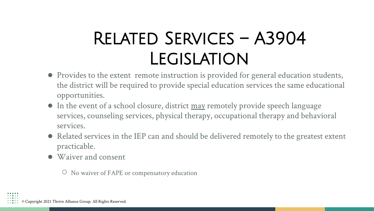# Related Services – A3904 **LEGISLATION**

- Provides to the extent remote instruction is provided for general education students, the district will be required to provide special education services the same educational opportunities.
- In the event of a school closure, district may remotely provide speech language services, counseling services, physical therapy, occupational therapy and behavioral services.
- Related services in the IEP can and should be delivered remotely to the greatest extent practicable.
- Waiver and consent

○ No waiver of FAPE or compensatory education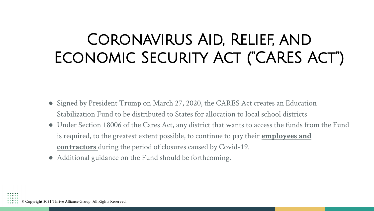#### Coronavirus Aid, Relief, and Economic Security Act ("CARES Act")

- Signed by President Trump on March 27, 2020, the CARES Act creates an Education Stabilization Fund to be distributed to States for allocation to local school districts
- Under Section 18006 of the Cares Act, any district that wants to access the funds from the Fund is required, to the greatest extent possible, to continue to pay their **employees and contractors** during the period of closures caused by Covid-19.
- Additional guidance on the Fund should be forthcoming.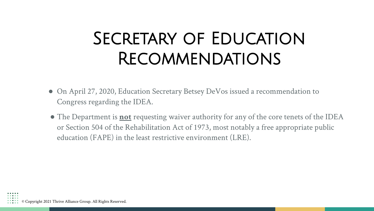## SECRETARY OF EDUCATION Recommendations

- On April 27, 2020, Education Secretary Betsey DeVos issued a recommendation to Congress regarding the IDEA.
- The Department is **not** requesting waiver authority for any of the core tenets of the IDEA or Section 504 of the Rehabilitation Act of 1973, most notably a free appropriate public education (FAPE) in the least restrictive environment (LRE).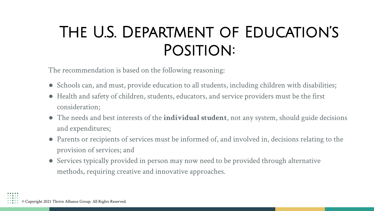#### The U.S. Department of Education's Position:

The recommendation is based on the following reasoning:

- Schools can, and must, provide education to all students, including children with disabilities;
- Health and safety of children, students, educators, and service providers must be the first consideration;
- The needs and best interests of the **individual student**, not any system, should guide decisions and expenditures;
- Parents or recipients of services must be informed of, and involved in, decisions relating to the provision of services; and
- Services typically provided in person may now need to be provided through alternative methods, requiring creative and innovative approaches.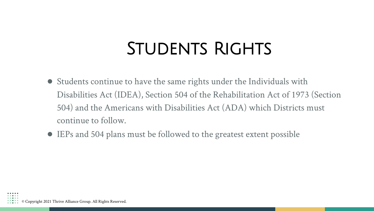## STUDENTS RIGHTS

- Students continue to have the same rights under the Individuals with Disabilities Act (IDEA), Section 504 of the Rehabilitation Act of 1973 (Section 504) and the Americans with Disabilities Act (ADA) which Districts must continue to follow.
- IEPs and 504 plans must be followed to the greatest extent possible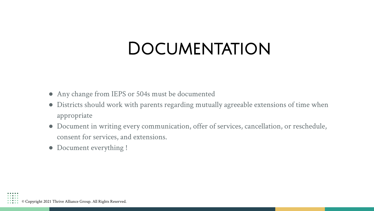#### **DOCUMENTATION**

- Any change from IEPS or 504s must be documented
- Districts should work with parents regarding mutually agreeable extensions of time when appropriate
- Document in writing every communication, offer of services, cancellation, or reschedule, consent for services, and extensions.
- Document everything !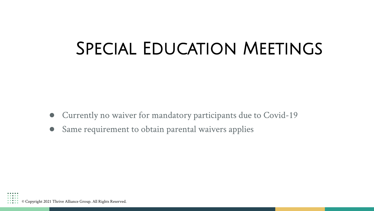#### Special Education Meetings

- Currently no waiver for mandatory participants due to Covid-19
- Same requirement to obtain parental waivers applies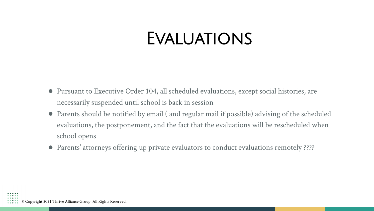#### **EVALUATIONS**

- Pursuant to Executive Order 104, all scheduled evaluations, except social histories, are necessarily suspended until school is back in session
- Parents should be notified by email ( and regular mail if possible) advising of the scheduled evaluations, the postponement, and the fact that the evaluations will be rescheduled when school opens
- Parents' attorneys offering up private evaluators to conduct evaluations remotely ????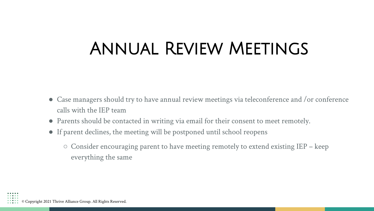## Annual Review Meetings

- Case managers should try to have annual review meetings via teleconference and /or conference calls with the IEP team
- Parents should be contacted in writing via email for their consent to meet remotely.
- If parent declines, the meeting will be postponed until school reopens
	- $\circ$  Consider encouraging parent to have meeting remotely to extend existing IEP keep everything the same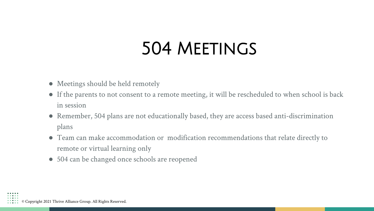## 504 Meetings

- Meetings should be held remotely
- If the parents to not consent to a remote meeting, it will be rescheduled to when school is back in session
- Remember, 504 plans are not educationally based, they are access based anti-discrimination plans
- Team can make accommodation or modification recommendations that relate directly to remote or virtual learning only
- 504 can be changed once schools are reopened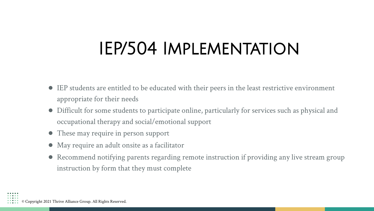## IEP/504 Implementation

- IEP students are entitled to be educated with their peers in the least restrictive environment appropriate for their needs
- Difficult for some students to participate online, particularly for services such as physical and occupational therapy and social/emotional support
- These may require in person support
- May require an adult onsite as a facilitator
- Recommend notifying parents regarding remote instruction if providing any live stream group instruction by form that they must complete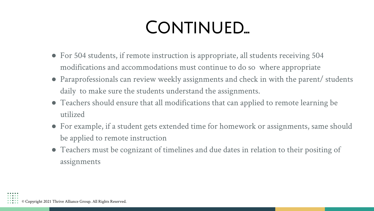# CONTINUED...

- For 504 students, if remote instruction is appropriate, all students receiving 504 modifications and accommodations must continue to do so where appropriate
- Paraprofessionals can review weekly assignments and check in with the parent/ students daily to make sure the students understand the assignments.
- Teachers should ensure that all modifications that can applied to remote learning be utilized
- For example, if a student gets extended time for homework or assignments, same should be applied to remote instruction
- Teachers must be cognizant of timelines and due dates in relation to their positing of assignments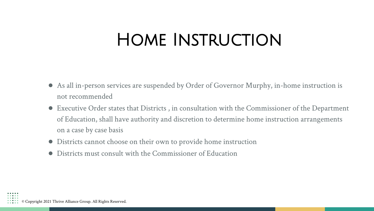## Home Instruction

- As all in-person services are suspended by Order of Governor Murphy, in-home instruction is not recommended
- Executive Order states that Districts , in consultation with the Commissioner of the Department of Education, shall have authority and discretion to determine home instruction arrangements on a case by case basis
- Districts cannot choose on their own to provide home instruction
- Districts must consult with the Commissioner of Education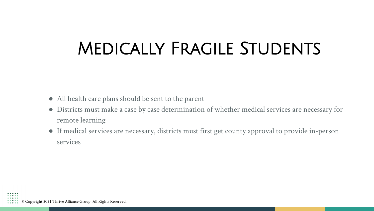## Medically Fragile Students

- All health care plans should be sent to the parent
- Districts must make a case by case determination of whether medical services are necessary for remote learning
- If medical services are necessary, districts must first get county approval to provide in-person services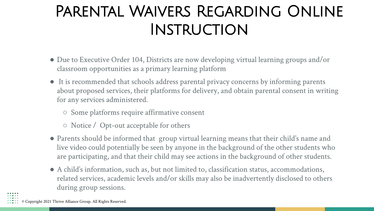#### Parental Waivers Regarding Online **INSTRUCTION**

- Due to Executive Order 104, Districts are now developing virtual learning groups and/or classroom opportunities as a primary learning platform
- It is recommended that schools address parental privacy concerns by informing parents about proposed services, their platforms for delivery, and obtain parental consent in writing for any services administered.
	- Some platforms require affirmative consent
	- Notice / Opt-out acceptable for others
- Parents should be informed that group virtual learning means that their child's name and live video could potentially be seen by anyone in the background of the other students who are participating, and that their child may see actions in the background of other students.
- A child's information, such as, but not limited to, classification status, accommodations, related services, academic levels and/or skills may also be inadvertently disclosed to others during group sessions.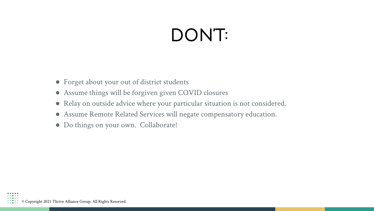# DON'T:

- Forget about your out of district students
- Assume things will be forgiven given COVID closures
- Relay on outside advice where your particular situation is not considered.
- Assume Remote Related Services will negate compensatory education.
- Do things on your own. Collaborate!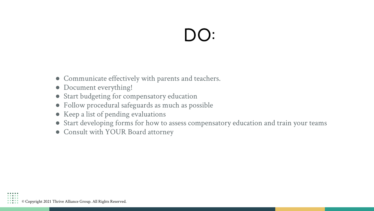# DO:

- Communicate effectively with parents and teachers.
- Document everything!
- Start budgeting for compensatory education
- Follow procedural safeguards as much as possible
- Keep a list of pending evaluations
- Start developing forms for how to assess compensatory education and train your teams
- Consult with YOUR Board attorney